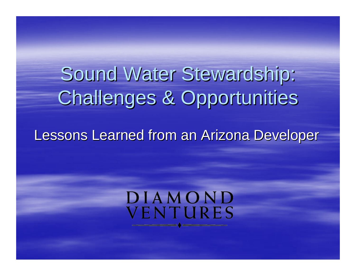# Sound Water Stewardship: Challenges & Opportunities

#### Lessons Learned from an Arizona Developer

#### DIAMOND VENTURES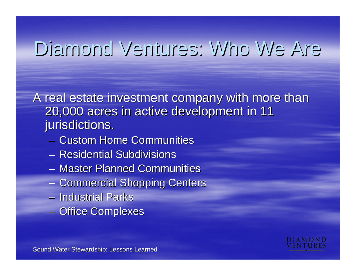## Diamond Ventures: Who We Are Diamond Ventures: Who We Are

A real estate investment company with more than 20,000 acres in active development in 11 20,000 acres in active development in 11 jurisdictions.

- Custom Home Communities
- Residential Subdivisions
- Master Planned Communities
- Commercial Shopping Centers
- Industrial Parks Industrial Parks
- –- Office Complexes

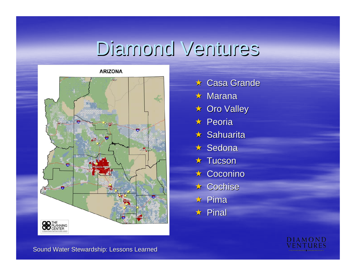## Diamond Ventures



- $\star$  Casa Grande
- $\star$  Marana
- $\star$  Oro Valley
- $\star$  Peoria
- $\star$  Sahuarita
- $\star$  Sedona
- $\star$  Tucson
- $\star$  Coconino
- $\star$  Cochise
- $\star$  Pima
- $\star$  Pinal

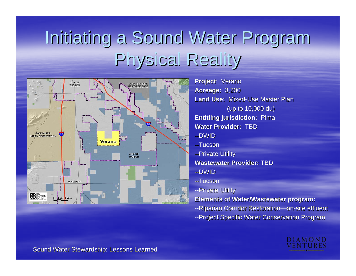#### Initiating a Sound Water Program Physical Reality Physical Reality



**Project: Verano Acreage: Acreage:** 3,200 **Land Use: Mixed-Use Master Plan** (up to 10,000 du) **Entitling jurisdiction: Pima Water Provider: Water Provider:** TBD--DWID--Tucson--Private Utility **Wastewater Provider: Wastewater Provider:** TBD--DWID--Tucson-- Private Utility **Elements of Water/Wastewater program: Elements of Water/Wastewater program:**

- --Riparian Corridor Restoration-on-site effluent
- --Project Specific Water Conservation Program

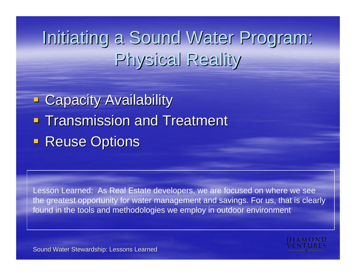#### Initiating a Sound Water Program: Physical Reality

**- Capacity Availability Transmission and Treatment Reuse Options** 

Lesson Learned: As Real Estate developers, we are focused on where we see the greatest opportunity for water management and savings. For us, that is clearly found in the tools and methodologies we employ in outdoor environment

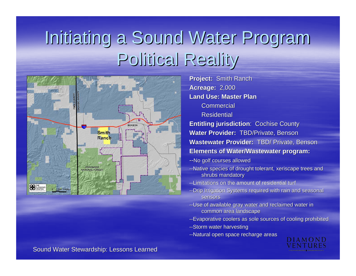#### Initiating a Sound Water Program Political Reality



**Project: Smith Ranch Acreage: 2,000 Land Use: Master PlanCommercial** Residential **Entitling jurisdiction: Cochise County** 

**Water Provider: TBD/Private, Benson Wastewater Provider: TBD/ Private, Benson Elements of Water/Wastewater program: Elements of Water/Wastewater program:**

- --No golf courses allowed
- --Native species of drought tolerant, xeriscape trees and shrubs mandatory
- --Limitations on the amount of residential turf
- --Drip Irrigation Systems required with rain and seasonal sensors
- --Use of available gray water and reclaimed water in common area landscape
- --Evaporative coolers as sole sources of cooling prohibited
- --Storm water harvesting
- --Natural open space recharge areas

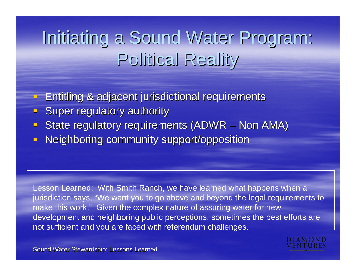#### Initiating a Sound Water Program: Political Reality

Entitling & adjacent jurisdictional requirements Entitling & adjacent jurisdictional requirements

- $\Box$ Super regulatory authority
- $\blacksquare$ State regulatory requirements (ADWR – Non AMA)
- $\Box$ Neighboring community support/opposition

Lesson Learned: With Smith Ranch, we have learned what happens when a jurisdiction says, "We want you to go above and beyond the legal requirements to make this work." Given the complex nature of assuring water for new development and neighboring public perceptions, sometimes the best efforts are not sufficient and you are faced with referendum challenges.

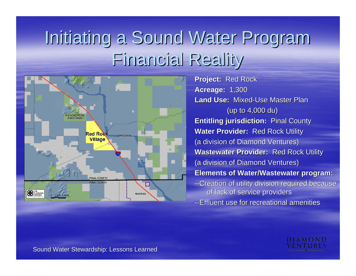#### Initiating a Sound Water Program Financial Reality Financial Reality



**Project: Red Rock Acreage: Acreage:** 1,300 **Land Use: Mixed-Use Master Plan** (up to  $4,000$  du) **Entitling jurisdiction: Pinal County Water Provider: Red Rock Utility** (a division of Diamond Ventures) **Wastewater Provider: Red Rock Utility** (a division of Diamond Ventures) **Elements of Water/Wastewater program: Elements of program:** --Creation of utility division required because of lack of service providers --Effluent use for recreational amenities

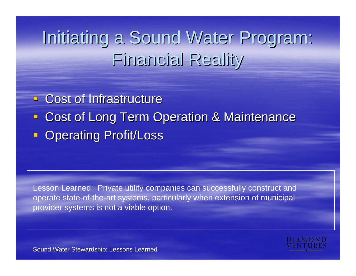#### Initiating a Sound Water Program: Financial Reality Financial Reality

**EXCost of Infrastructure** 

- **Example 23 Ferm Operation & Maintenance Cost of Long Term Operation & Maintenance**
- **Operating Profit/Loss**

Lesson Learned: Private utility companies can successfully construct and operate state-of-the-art systems, particularly when extension of municipal provider systems is not a viable option.

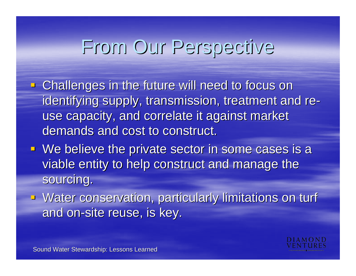## From Our Perspective From Our Perspective

- **EXTER 10 Induces in the future will need to focus on Anallenges in the future will need to focus on** identifying supply, transmission, treatment and reuse capacity, and correlate it against market demands and cost to construct.
- $\blacksquare$  We believe the private sector in some cases is a viable entity to help construct and manage the sourcing.
- **Water conservation, particularly limitations on turf** and on-site reuse, is key.